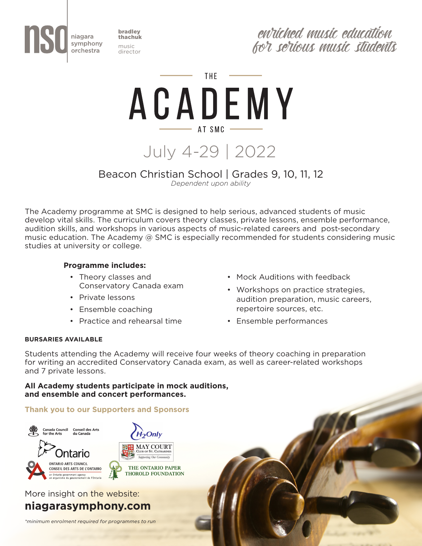

bradley thachuk music director

entiched music education for serious music students

THE.

ACADEMY  $-$  AT SMC  $-$ 

July 4-29 | 2022

## Beacon Christian School | Grades 9, 10, 11, 12 *Dependent upon ability*

The Academy programme at SMC is designed to help serious, advanced students of music develop vital skills. The curriculum covers theory classes, private lessons, ensemble performance, audition skills, and workshops in various aspects of music-related careers and post-secondary music education. The Academy @ SMC is especially recommended for students considering music studies at university or college.

## **Programme includes:**

- Theory classes and Conservatory Canada exam
- Private lessons
- Ensemble coaching
- Practice and rehearsal time
- Mock Auditions with feedback
- Workshops on practice strategies, audition preparation, music careers, repertoire sources, etc.
- Ensemble performances

## **BURSARIES AVAILABLE**

Students attending the Academy will receive four weeks of theory coaching in preparation for writing an accredited Conservatory Canada exam, as well as career-related workshops and 7 private lessons.

### **All Academy students participate in mock auditions, and ensemble and concert performances.**

## **Thank you to our Supporters and Sponsors**



## More insight on the website: **niagarasymphony.com**

*\*minimum enrolment required for programmes to run*